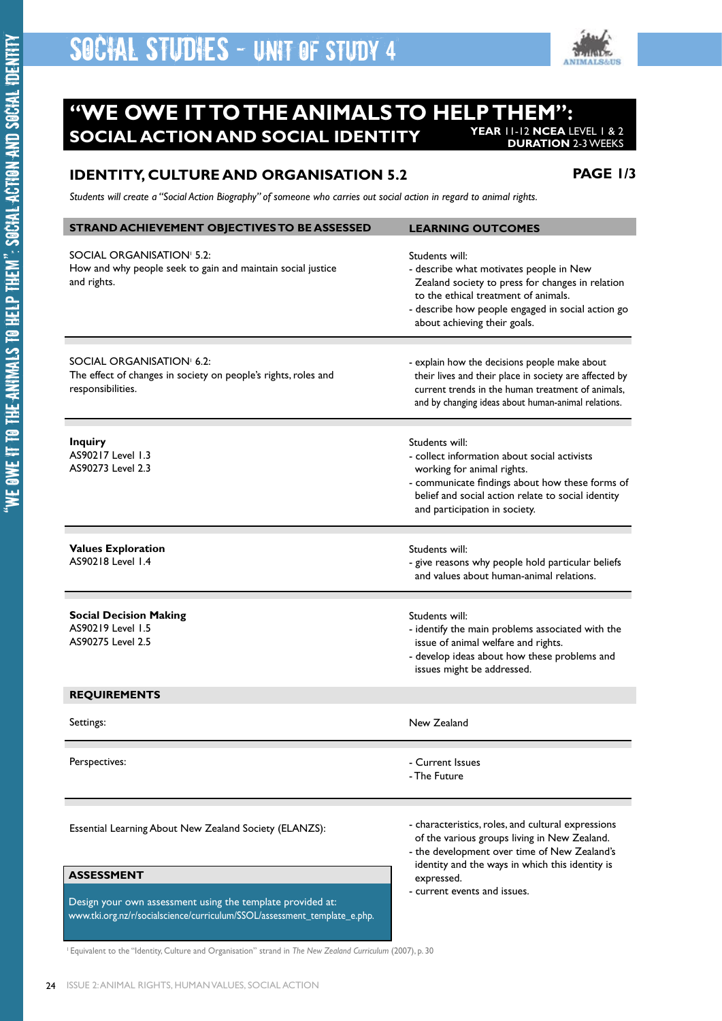

#### **"WE OWE IT TO THE ANIMALS TO HELP THEM": SOCIAL ACTION AND SOCIAL IDENTITY YEAR** 11-12 **NCEA** LEVEL 1 & 2 **DURATION** 2-3 WEEKS

### **IDENTITY, CULTURE AND ORGANISATION 5.2**

**PAGE 1/3**

*Students will create a "Social Action Biography" of someone who carries out social action in regard to animal rights.*

| STRAND ACHIEVEMENT OBJECTIVES TO BE ASSESSED                                                                                            | <b>LEARNING OUTCOMES</b>                                                                                                                                                                                                                            |
|-----------------------------------------------------------------------------------------------------------------------------------------|-----------------------------------------------------------------------------------------------------------------------------------------------------------------------------------------------------------------------------------------------------|
| SOCIAL ORGANISATION <sup>1</sup> 5.2:<br>How and why people seek to gain and maintain social justice<br>and rights.                     | Students will:<br>- describe what motivates people in New<br>Zealand society to press for changes in relation<br>to the ethical treatment of animals.<br>- describe how people engaged in social action go<br>about achieving their goals.          |
| SOCIAL ORGANISATION <sup>1</sup> 6.2:<br>The effect of changes in society on people's rights, roles and<br>responsibilities.            | - explain how the decisions people make about<br>their lives and their place in society are affected by<br>current trends in the human treatment of animals,<br>and by changing ideas about human-animal relations.                                 |
| <b>Inquiry</b><br>AS90217 Level 1.3<br>AS90273 Level 2.3                                                                                | Students will:<br>- collect information about social activists<br>working for animal rights.<br>- communicate findings about how these forms of<br>belief and social action relate to social identity<br>and participation in society.              |
| <b>Values Exploration</b><br>AS90218 Level 1.4                                                                                          | Students will:<br>- give reasons why people hold particular beliefs<br>and values about human-animal relations.                                                                                                                                     |
| <b>Social Decision Making</b><br>AS90219 Level 1.5<br>AS90275 Level 2.5                                                                 | Students will:<br>- identify the main problems associated with the<br>issue of animal welfare and rights.<br>- develop ideas about how these problems and<br>issues might be addressed.                                                             |
| <b>REQUIREMENTS</b>                                                                                                                     |                                                                                                                                                                                                                                                     |
| Settings:                                                                                                                               | New Zealand                                                                                                                                                                                                                                         |
| Perspectives:                                                                                                                           | - Current Issues<br>- The Future                                                                                                                                                                                                                    |
| Essential Learning About New Zealand Society (ELANZS):                                                                                  | - characteristics, roles, and cultural expressions<br>of the various groups living in New Zealand.<br>- the development over time of New Zealand's<br>identity and the ways in which this identity is<br>expressed.<br>- current events and issues. |
| <b>ASSESSMENT</b>                                                                                                                       |                                                                                                                                                                                                                                                     |
| Design your own assessment using the template provided at:<br>www.tki.org.nz/r/socialscience/curriculum/SSOL/assessment_template_e.php. |                                                                                                                                                                                                                                                     |

<sup>1</sup> Equivalent to the "Identity, Culture and Organisation" strand in *The New Zealand Curriculum* (2007), p. 30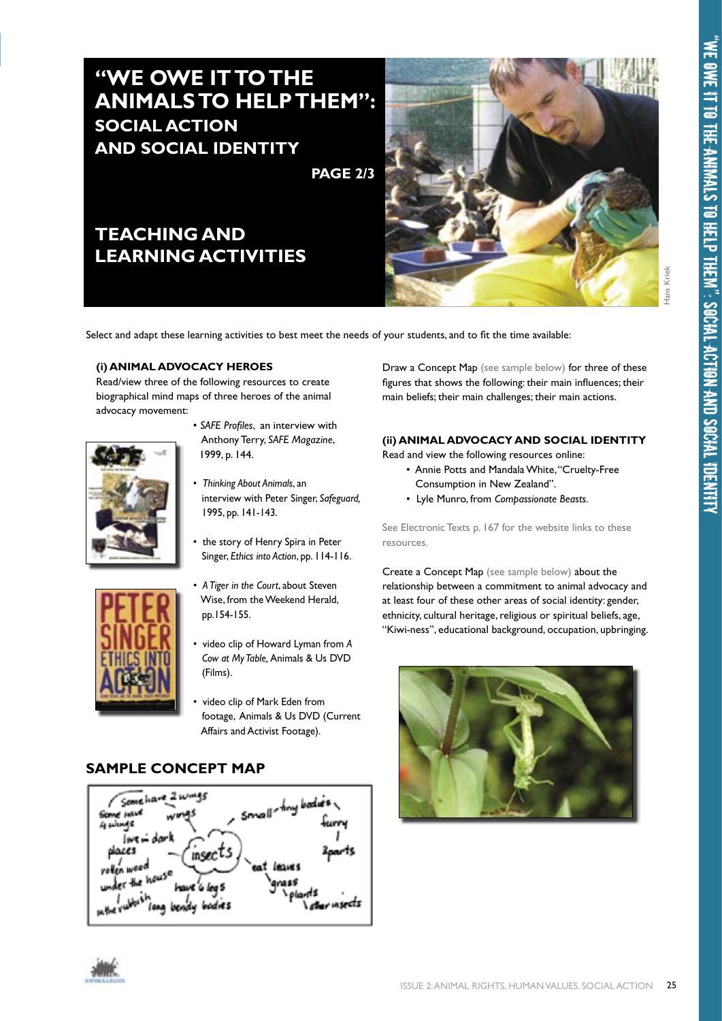# **"WE OWE IT TO THE ANIMALS TO HELP THEM": SOCIAL ACTION AND SOCIAL IDENTITY**

**PAGE 2/3**

## **TEACHING AND LEARNING ACTIVITIES**



Select and adapt these learning activities to best meet the needs of your students, and to fit the time available:

### **(i) ANIMAL ADVOCACY HEROES**

Read/view three of the following resources to create biographical mind maps of three heroes of the animal advocacy movement:



- *SAFE Profiles*, an interview with Anthony Terry, *SAFE Magazine*, 1999, p. 144.
- *Thinking About Animals*, an interview with Peter Singer, *Safeguard,* 1995, pp. 141-143.
- the story of Henry Spira in Peter Singer, *Ethics into Action*, pp. 114-116.
- *A Tiger in the Court*, about Steven Wise, from the Weekend Herald, pp.154-155.
	- video clip of Howard Lyman from *A Cow at My Table,* Animals & Us DVD (Films).
	- video clip of Mark Eden from footage, Animals & Us DVD (Current Affairs and Activist Footage).

### **SAMPLE CONCEPT MAP**





Draw a Concept Map (see sample below) for three of these figures that shows the following: their main influences; their main beliefs; their main challenges; their main actions.

### **(ii) ANIMAL ADVOCACY AND SOCIAL IDENTITY**

- Read and view the following resources online: • Annie Potts and Mandala White, "Cruelty-Free
	- Consumption in New Zealand".
	- Lyle Munro, from *Compassionate Beasts.*

See Electronic Texts p. 167 for the website links to these resources.

Create a Concept Map (see sample below) about the relationship between a commitment to animal advocacy and at least four of these other areas of social identity: gender, ethnicity, cultural heritage, religious or spiritual beliefs, age, "Kiwi-ness", educational background, occupation, upbringing.